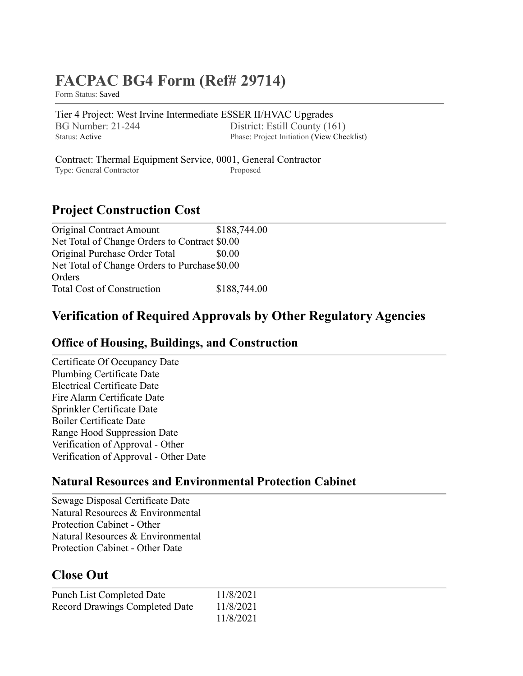# **FACPAC BG4 Form (Ref# 29714)**

Form Status: Saved

Tier 4 Project: West Irvine Intermediate ESSER II/HVAC Upgrades BG Number: 21-244 District: Estill County (161)<br>Status: Active Phase: Project Initiation (View Che Phase: Project Initiation (View Checklist)

Contract: Thermal Equipment Service, 0001, General Contractor Type: General Contractor

## **Project Construction Cost**

| Original Contract Amount                      | \$188,744.00 |
|-----------------------------------------------|--------------|
| Net Total of Change Orders to Contract \$0.00 |              |
| Original Purchase Order Total                 | \$0.00       |
| Net Total of Change Orders to Purchase \$0.00 |              |
| Orders                                        |              |
| <b>Total Cost of Construction</b>             | \$188,744.00 |

### **Verification of Required Approvals by Other Regulatory Agencies**

#### **Office of Housing, Buildings, and Construction**

Certificate Of Occupancy Date Plumbing Certificate Date Electrical Certificate Date Fire Alarm Certificate Date Sprinkler Certificate Date Boiler Certificate Date Range Hood Suppression Date Verification of Approval - Other Verification of Approval - Other Date

#### **Natural Resources and Environmental Protection Cabinet**

Sewage Disposal Certificate Date Natural Resources & Environmental Protection Cabinet - Other Natural Resources & Environmental Protection Cabinet - Other Date

## **Close Out**

| <b>Punch List Completed Date</b>      | 11/8/2021 |
|---------------------------------------|-----------|
| <b>Record Drawings Completed Date</b> | 11/8/2021 |
|                                       | 11/8/2021 |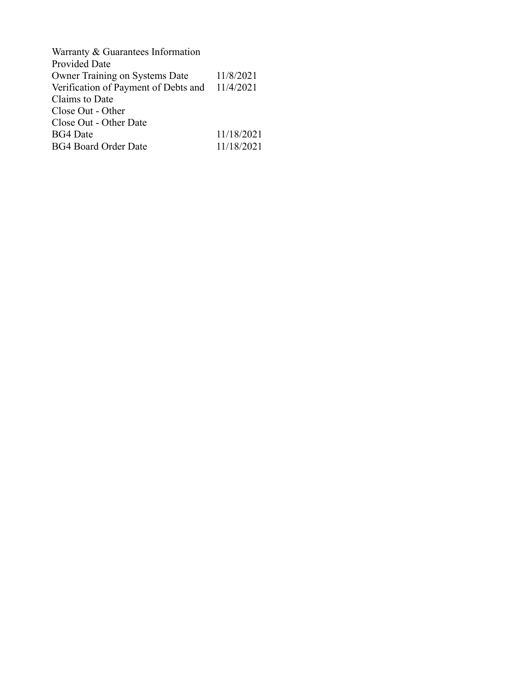| Warranty & Guarantees Information              |            |
|------------------------------------------------|------------|
| <b>Provided Date</b>                           |            |
| Owner Training on Systems Date                 | 11/8/2021  |
| Verification of Payment of Debts and 11/4/2021 |            |
| Claims to Date                                 |            |
| Close Out - Other                              |            |
| Close Out - Other Date                         |            |
| <b>BG4</b> Date                                | 11/18/2021 |
| <b>BG4 Board Order Date</b>                    | 11/18/2021 |